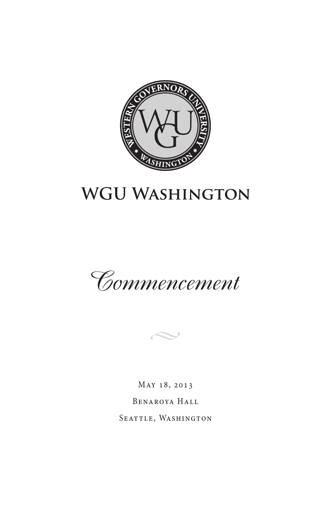

# **WGU WASHINGTON**





May 18, 2013 Benaroya Hall SEATTLE, WASHINGTON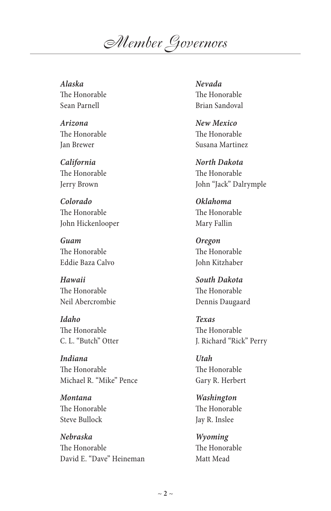*Member Governors*

#### *Alaska*

The Honorable Sean Parnell

*Arizona* The Honorable Jan Brewer

*California* The Honorable Jerry Brown

*Colorado* The Honorable John Hickenlooper

*Guam* The Honorable Eddie Baza Calvo

*Hawaii* The Honorable Neil Abercrombie

*Idaho* The Honorable C. L. "Butch" Otter

*Indiana* The Honorable Michael R. "Mike" Pence

*Montana* The Honorable Steve Bullock

*Nebraska* The Honorable David E. "Dave" Heineman *Nevada* The Honorable Brian Sandoval

*New Mexico* The Honorable Susana Martinez

*North Dakota* The Honorable John "Jack" Dalrymple

*Oklahoma* The Honorable Mary Fallin

*Oregon* The Honorable John Kitzhaber

*South Dakota* The Honorable Dennis Daugaard

*Texas* The Honorable J. Richard "Rick" Perry

*Utah* The Honorable Gary R. Herbert

*Washington* The Honorable Jay R. Inslee

*Wyoming* The Honorable Matt Mead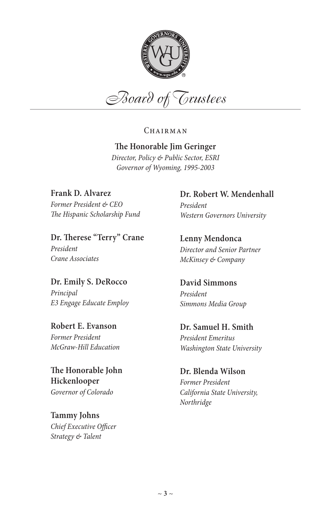

*Board of Trustees*

CHAIRMAN

#### **The Honorable Jim Geringer**

*Director, Policy & Public Sector, ESRI Governor of Wyoming, 1995-2003*

**Frank D. Alvarez** *Former President & CEO The Hispanic Scholarship Fund*

**Dr. Therese "Terry" Crane** *President Crane Associates*

**Dr. Emily S. DeRocco** *Principal E3 Engage Educate Employ*

**Robert E. Evanson** *Former President McGraw-Hill Education*

**The Honorable John Hickenlooper** *Governor of Colorado*

**Tammy Johns** *Chief Executive Officer Strategy & Talent*

**Dr. Robert W. Mendenhall** *President Western Governors University*

**Lenny Mendonca** *Director and Senior Partner McKinsey & Company*

**David Simmons** *President Simmons Media Group*

**Dr. Samuel H. Smith** *President Emeritus Washington State University*

**Dr. Blenda Wilson** *Former President California State University, Northridge*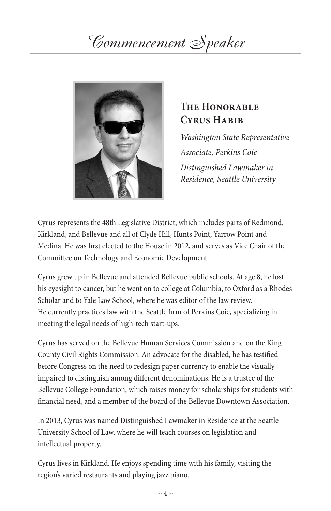# *Commencement Speaker*



## **The Honorable**  CYRUS HABIB

*Washington State Representative Associate, Perkins Coie Distinguished Lawmaker in Residence, Seattle University*

Cyrus represents the 48th Legislative District, which includes parts of Redmond, Kirkland, and Bellevue and all of Clyde Hill, Hunts Point, Yarrow Point and Medina. He was first elected to the House in 2012, and serves as Vice Chair of the Committee on Technology and Economic Development.

Cyrus grew up in Bellevue and attended Bellevue public schools. At age 8, he lost his eyesight to cancer, but he went on to college at Columbia, to Oxford as a Rhodes Scholar and to Yale Law School, where he was editor of the law review. He currently practices law with the Seattle firm of Perkins Coie, specializing in meeting the legal needs of high-tech start-ups.

Cyrus has served on the Bellevue Human Services Commission and on the King County Civil Rights Commission. An advocate for the disabled, he has testified before Congress on the need to redesign paper currency to enable the visually impaired to distinguish among different denominations. He is a trustee of the Bellevue College Foundation, which raises money for scholarships for students with financial need, and a member of the board of the Bellevue Downtown Association.

In 2013, Cyrus was named Distinguished Lawmaker in Residence at the Seattle University School of Law, where he will teach courses on legislation and intellectual property.

Cyrus lives in Kirkland. He enjoys spending time with his family, visiting the region's varied restaurants and playing jazz piano.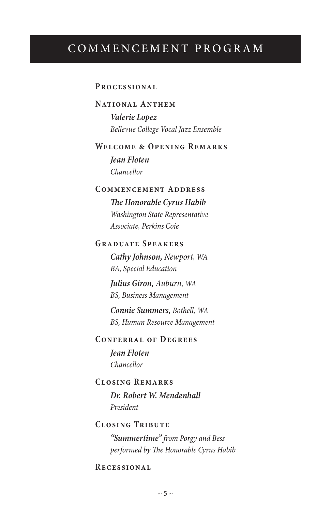## COMMENCEMENT PROGRAM

#### **Processional**

#### **National Anthem**

*Valerie Lopez Bellevue College Vocal Jazz Ensemble*

#### **Welcome & Opening Remarks**

*Jean Floten Chancellor*

#### **Commencement Address**

*The Honorable Cyrus Habib Washington State Representative Associate, Perkins Coie*

#### **Graduate Speakers**

*Cathy Johnson, Newport, WA BA, Special Education*

*Julius Giron, Auburn, WA BS, Business Management*

*Connie Summers, Bothell, WA BS, Human Resource Management*

#### **Conferral of Degrees**

*Jean Floten Chancellor*

#### **Closing Remarks**

*Dr. Robert W. Mendenhall President*

#### **Closing Tribute**

*"Summertime" from Porgy and Bess performed by The Honorable Cyrus Habib*

#### **Recessional**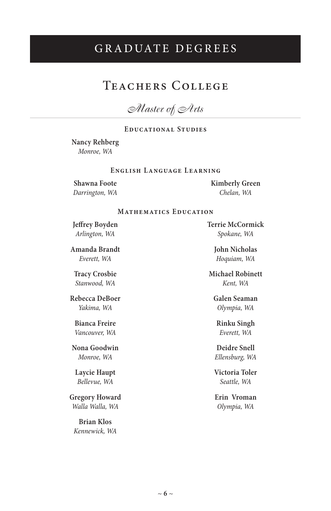# GRADUATE DEGREES

## Teachers College

*Master of Arts*

#### **Educational Studies**

### **Nancy Rehberg**

*Monroe, WA*

#### **English Language Learning**

**Shawna Foote** *Darrington, WA* **Kimberly Green** *Chelan, WA*

#### **Mathematics Education**

**Jeffrey Boyden** *Arlington, WA*

**Amanda Brandt** *Everett, WA*

**Tracy Crosbie** *Stanwood, WA*

**Rebecca DeBoer** *Yakima, WA*

**Bianca Freire** *Vancouver, WA*

**Nona Goodwin** *Monroe, WA*

**Laycie Haupt** *Bellevue, WA* 

**Gregory Howard** *Walla Walla, WA*

**Brian Klos** *Kennewick, WA* **Terrie McCormick** *Spokane, WA*

> **John Nicholas** *Hoquiam, WA*

**Michael Robinett** *Kent, WA*

**Galen Seaman** *Olympia, WA*

**Rinku Singh** *Everett, WA*

**Deidre Snell** *Ellensburg, WA*

**Victoria Toler** *Seattle, WA*

**Erin Vroman** *Olympia, WA*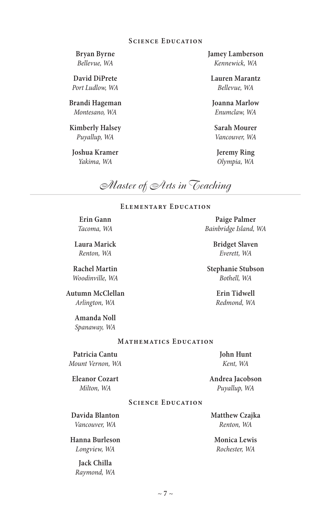#### **Science Education**

**Bryan Byrne** *Bellevue, WA*

**David DiPrete** *Port Ludlow, WA*

**Brandi Hageman** *Montesano, WA*

**Kimberly Halsey** *Puyallup, WA*

**Joshua Kramer** *Yakima, WA*

**Jamey Lamberson** *Kennewick, WA*

**Lauren Marantz** *Bellevue, WA*

**Joanna Marlow** *Enumclaw, WA*

**Sarah Mourer** *Vancouver, WA*

**Jeremy Ring** *Olympia, WA*

**Paige Palmer** *Bainbridge Island, WA* **Bridget Slaven** *Everett, WA* **Stephanie Stubson** *Bothell, WA* **Erin Tidwell** *Redmond, WA*

*Master of Arts in Teaching*

#### **Elementary Education**

**Erin Gann** *Tacoma, WA*

**Laura Marick** *Renton, WA*

**Rachel Martin** *Woodinville, WA*

**Autumn McClellan** *Arlington, WA*

> **Amanda Noll** *Spanaway, WA*

#### **Mathematics Education**

**Patricia Cantu** *Mount Vernon, WA*

**Eleanor Cozart** *Milton, WA*

**John Hunt** *Kent, WA*

**Andrea Jacobson** *Puyallup, WA*

#### **Science Education**

**Davida Blanton** *Vancouver, WA*

**Hanna Burleson** *Longview, WA*

> **Jack Chilla** *Raymond, WA*

**Matthew Czajka** *Renton, WA*

**Monica Lewis** *Rochester, WA*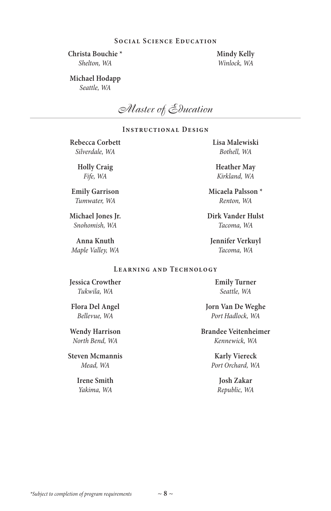#### **Social Science Education**

**Christa Bouchie \*** *Shelton, WA*

**Mindy Kelly** *Winlock, WA*

#### **Michael Hodapp** *Seattle, WA*

*Master of Education*

#### **Instructional Design**

**Rebecca Corbett** *Silverdale, WA*

> **Holly Craig** *Fife, WA*

**Emily Garrison** *Tumwater, WA*

**Michael Jones Jr.** *Snohomish, WA*

**Anna Knuth** *Maple Valley, WA* **Lisa Malewiski** *Bothell, WA*

**Heather May** *Kirkland, WA*

**Micaela Palsson \*** *Renton, WA*

**Dirk Vander Hulst** *Tacoma, WA*

**Jennifer Verkuyl** *Tacoma, WA*

#### **Learning and Technology**

**Jessica Crowther** *Tukwila, WA*

**Flora Del Angel** *Bellevue, WA*

**Wendy Harrison** *North Bend, WA*

**Steven Mcmannis** *Mead, WA*

> **Irene Smith** *Yakima, WA*

**Emily Turner** *Seattle, WA*

**Jorn Van De Weghe** *Port Hadlock, WA*

**Brandee Veitenheimer** *Kennewick, WA*

> **Karly Viereck** *Port Orchard, WA*

> > **Josh Zakar** *Republic, WA*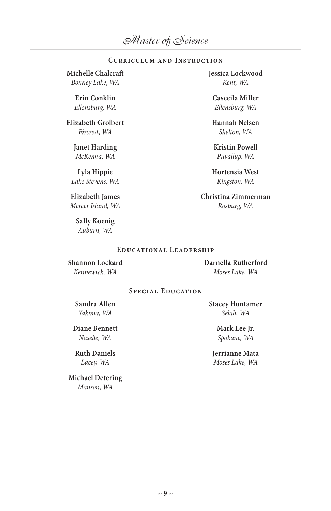#### **Curriculum and Instruction**

**Michelle Chalcraft** *Bonney Lake, WA*

> **Erin Conklin** *Ellensburg, WA*

**Elizabeth Grolbert** *Fircrest, WA*

> **Janet Harding** *McKenna, WA*

**Lyla Hippie** *Lake Stevens, WA*

**Elizabeth James** *Mercer Island, WA*

> **Sally Koenig** *Auburn, WA*

**Jessica Lockwood** *Kent, WA*

**Casceila Miller** *Ellensburg, WA*

**Hannah Nelsen** *Shelton, WA*

**Kristin Powell** *Puyallup, WA*

**Hortensia West** *Kingston, WA*

**Christina Zimmerman** *Rosburg, WA*

#### **Educational Leadership**

**Shannon Lockard** *Kennewick, WA*

**Darnella Rutherford** *Moses Lake, WA*

#### **Special Education**

**Sandra Allen** *Yakima, WA*

**Diane Bennett** *Naselle, WA*

**Ruth Daniels** *Lacey, WA*

**Michael Detering** *Manson, WA*

**Stacey Huntamer** *Selah, WA*

> **Mark Lee Jr.** *Spokane, WA*

**Jerrianne Mata** *Moses Lake, WA*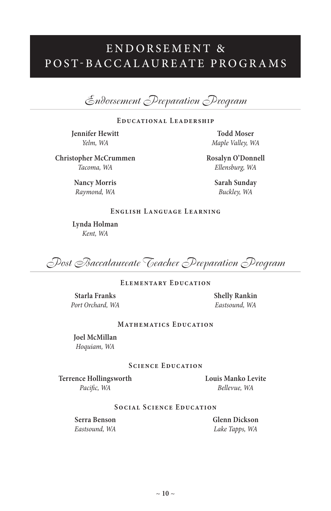# ENDORSEMENT<sup>&</sup> P O S T- B A C C A L AU R E AT E P R O G R A M S

*Endorsement Preparation Program* 

#### **Educational Leadership**

**Jennifer Hewitt** *Yelm, WA*

**Todd Moser** *Maple Valley, WA*

**Christopher McCrummen** *Tacoma, WA*

> **Nancy Morris** *Raymond, WA*

**Rosalyn O'Donnell** *Ellensburg, WA*

> **Sarah Sunday**  *Buckley, WA*

#### **English Language Learning**

**Lynda Holman** *Kent, WA*

*Post Baccalaureate Teacher Preparation Program*

#### **Elementary Education**

**Starla Franks** *Port Orchard, WA* **Shelly Rankin** *Eastsound, WA*

#### **Mathematics Education**

**Joel McMillan** *Hoquiam, WA*

#### **Science Education**

**Terrence Hollingsworth** *Pacific, WA*

**Louis Manko Levite** *Bellevue, WA*

#### **Social Science Education**

**Serra Benson** *Eastsound, WA* **Glenn Dickson** *Lake Tapps, WA*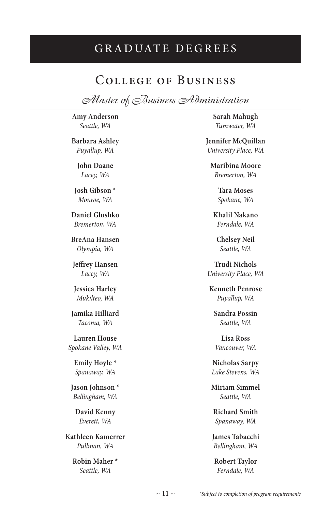# GRADUATE DEGREES

### College of Business

*Master of Business Administration*

**Amy Anderson** *Seattle, WA*

**Barbara Ashley** *Puyallup, WA*

> **John Daane** *Lacey, WA*

**Josh Gibson \*** *Monroe, WA*

**Daniel Glushko** *Bremerton, WA*

**BreAna Hansen** *Olympia, WA*

**Jeffrey Hansen** *Lacey, WA*

**Jessica Harley** *Mukilteo, WA*

**Jamika Hilliard** *Tacoma, WA*

**Lauren House** *Spokane Valley, WA*

> **Emily Hoyle \*** *Spanaway, WA*

**Jason Johnson \*** *Bellingham, WA*

**David Kenny** *Everett, WA*

**Kathleen Kamerrer** *Pullman, WA*

> **Robin Maher \*** *Seattle, WA*

**Sarah Mahugh** *Tumwater, WA*

**Jennifer McQuillan** *University Place, WA*

**Maribina Moore** *Bremerton, WA*

> **Tara Moses** *Spokane, WA*

**Khalil Nakano** *Ferndale, WA*

**Chelsey Neil** *Seattle, WA*

**Trudi Nichols** *University Place, WA*

**Kenneth Penrose** *Puyallup, WA*

**Sandra Possin** *Seattle, WA*

**Lisa Ross** *Vancouver, WA*

**Nicholas Sarpy** *Lake Stevens, WA*

**Miriam Simmel** *Seattle, WA*

**Richard Smith** *Spanaway, WA*

**James Tabacchi** *Bellingham, WA*

**Robert Taylor** *Ferndale, WA*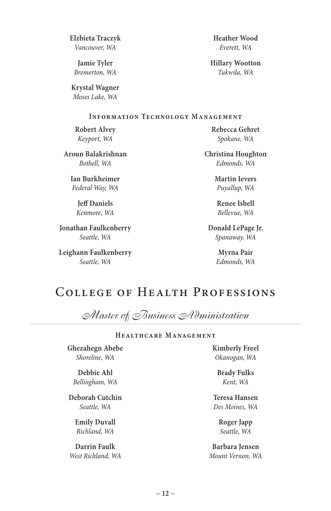**Jonathan Faulkenberry** *Seattle, WA*

*Seattle, WA*

**Heather Wood** *Everett, WA*

**Hillary Wootton** *Tukwila, WA*

#### **Information Technology Management**

**Robert Alvey** *Keyport, WA*

**Aroun Balakrishnan** *Bothell, WA*

**Elzbieta Traczyk** *Vancouver, WA* **Jamie Tyler** *Bremerton, WA* **Krystal Wagner** *Moses Lake, WA*

**Ian Burkheimer** *Federal Way, WA*

> **Jeff Daniels** *Kenmore, WA*

**Leighann Faulkenberry**

**Rebecca Gehret** *Spokane, WA*

**Christina Houghton** *Edmonds, WA*

> **Martin Ievers** *Puyallup, WA*

**Renee Isbell** *Bellevue, WA*

**Donald LePage Jr.** *Spanaway, WA*

> **Myrna Pair** *Edmonds, WA*

# College of Health Professions

*Master of Business Administration*

#### **Healthcare Management**

**Ghezahegn Abebe** *Shoreline, WA*

**Debbie Ahl** *Bellingham, WA*

**Deborah Cutchin** *Seattle, WA*

> **Emily Duvall** *Richland, WA*

**Darrin Faulk**  *West Richland, WA* **Kimberly Freel** *Okanogan, WA*

**Brady Fulks** *Kent, WA*

**Teresa Hansen** *Des Moines, WA*

> **Roger Japp** *Seattle, WA*

**Barbara Jensen** *Mount Vernon, WA*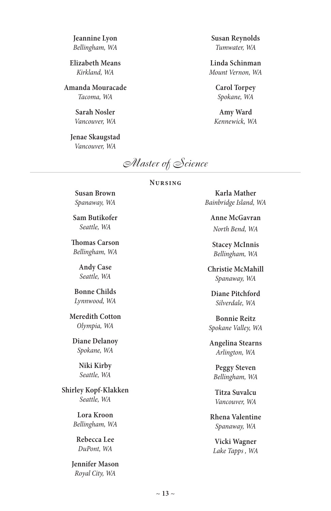**Jeannine Lyon** *Bellingham, WA*

**Elizabeth Means** *Kirkland, WA*

**Amanda Mouracade** *Tacoma, WA*

> **Sarah Nosler** *Vancouver, WA*

**Jenae Skaugstad** *Vancouver, WA*

**Susan Reynolds** *Tumwater, WA*

**Linda Schinman** *Mount Vernon, WA*

> **Carol Torpey** *Spokane, WA*

**Amy Ward** *Kennewick, WA*

*Master of Science*

#### **Nursing**

**Susan Brown** *Spanaway, WA*

**Sam Butikofer** *Seattle, WA*

**Thomas Carson** *Bellingham, WA*

> **Andy Case** *Seattle, WA*

**Bonne Childs** *Lynnwood, WA*

**Meredith Cotton** *Olympia, WA*

**Diane Delanoy** *Spokane, WA*

> **Niki Kirby** *Seattle, WA*

**Shirley Kopf-Klakken** *Seattle, WA*

> **Lora Kroon** *Bellingham, WA*

**Rebecca Lee** *DuPont, WA*

**Jennifer Mason** *Royal City, WA*

**Karla Mather** *Bainbridge Island, WA*

**Anne McGavran** *North Bend, WA*

**Stacey McInnis** *Bellingham, WA*

**Christie McMahill** *Spanaway, WA*

**Diane Pitchford** *Silverdale, WA*

**Bonnie Reitz** *Spokane Valley, WA*

**Angelina Stearns** *Arlington, WA*

**Peggy Steven** *Bellingham, WA*

**Titza Suvalcu** *Vancouver, WA*

**Rhena Valentine** *Spanaway, WA*

**Vicki Wagner** *Lake Tapps , WA*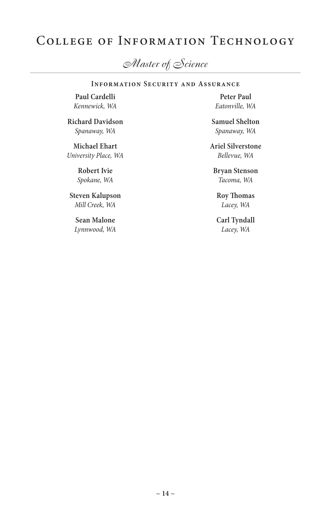# College of Information Technology

*Master of Science*

#### **Information Security and Assurance**

**Paul Cardelli** *Kennewick, WA*

**Richard Davidson** *Spanaway, WA*

**Michael Ehart** *University Place, WA*

> **Robert Ivie** *Spokane, WA*

**Steven Kalupson** *Mill Creek, WA*

**Sean Malone** *Lynnwood, WA*

**Peter Paul** *Eatonville, WA*

**Samuel Shelton** *Spanaway, WA*

**Ariel Silverstone** *Bellevue, WA*

**Bryan Stenson** *Tacoma, WA*

**Roy Thomas** *Lacey, WA*

**Carl Tyndall** *Lacey, WA*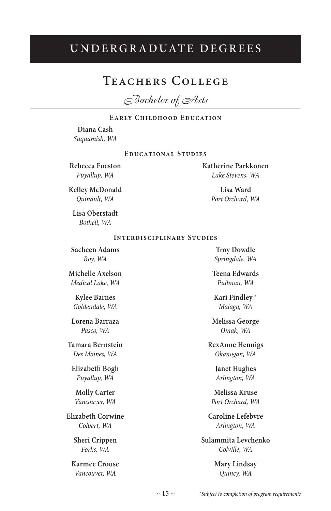## UNDERGRADUATE DEGREES

### Teachers College

*Bachelor of Arts*

#### **Early Childhood Education**

**Diana Cash** *Suquamish, WA*

#### **Educational Studies**

**Rebecca Fueston** *Puyallup, WA*

**Katherine Parkkonen** *Lake Stevens, WA*

> **Lisa Ward** *Port Orchard, WA*

**Kelley McDonald** *Quinault, WA*

**Lisa Oberstadt** *Bothell, WA*

#### **Interdisciplinary Studies**

**Sacheen Adams** *Roy, WA*

**Michelle Axelson** *Medical Lake, WA*

**Kylee Barnes** *Goldendale, WA*

**Lorena Barraza** *Pasco, WA*

**Tamara Bernstein** *Des Moines, WA*

**Elizabeth Bogh** *Puyallup, WA*

**Molly Carter** *Vancouver, WA*

**Elizabeth Corwine** *Colbert, WA*

> **Sheri Crippen** *Forks, WA*

**Karmee Crouse** *Vancouver, WA*

**Troy Dowdle** *Springdale, WA*

**Teena Edwards** *Pullman, WA*

**Kari Findley \*** *Malaga, WA*

**Melissa George** *Omak, WA*

**RexAnne Hennigs** *Okanogan, WA*

> **Janet Hughes** *Arlington, WA*

**Melissa Kruse** *Port Orchard, WA*

**Caroline Lefebvre** *Arlington, WA*

**Sulammita Levchenko** *Colville, WA*

> **Mary Lindsay** *Quincy, WA*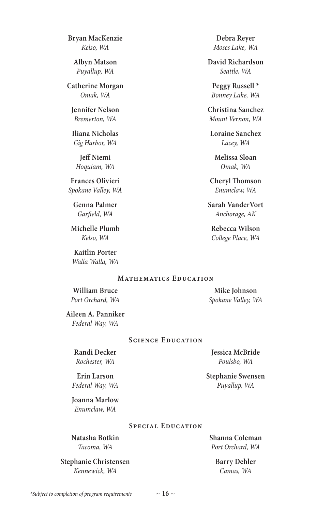*Kennewick, WA*

*\*Subject to completion of program requirements*

**Natasha Botkin**

*Tacoma, WA* **Stephanie Christensen**

*Gig Harbor, WA* **Jeff Niemi** *Hoquiam, WA*

**Frances Olivieri** *Spokane Valley, WA*

**Bryan MacKenzie** *Kelso, WA* **Albyn Matson** *Puyallup, WA* **Catherine Morgan** *Omak, WA* **Jennifer Nelson** *Bremerton, WA* **Iliana Nicholas**

**Genna Palmer** *Garfield, WA*

**Michelle Plumb** *Kelso, WA*

**Kaitlin Porter** *Walla Walla, WA*

#### **Debra Reyer** *Moses Lake, WA*

**David Richardson** *Seattle, WA*

**Peggy Russell \*** *Bonney Lake, WA*

**Christina Sanchez** *Mount Vernon, WA*

**Loraine Sanchez** *Lacey, WA*

> **Melissa Sloan** *Omak, WA*

**Cheryl Thomson** *Enumclaw, WA*

**Sarah VanderVort** *Anchorage, AK*

**Rebecca Wilson** *College Place, WA*

#### **Mathematics Education**

**William Bruce** *Port Orchard, WA*

**Mike Johnson** *Spokane Valley, WA*

**Aileen A. Panniker** *Federal Way, WA*

**Randi Decker** *Rochester, WA* **Erin Larson** *Federal Way, WA* **Joanna Marlow** *Enumclaw, WA*

#### **Science Education**

**Special Education**

**Jessica McBride** *Poulsbo, WA*

**Stephanie Swensen** *Puyallup, WA*

**Shanna Coleman** *Port Orchard, WA*

> **Barry Dehler** *Camas, WA*

#### $\sim$  16  $\sim$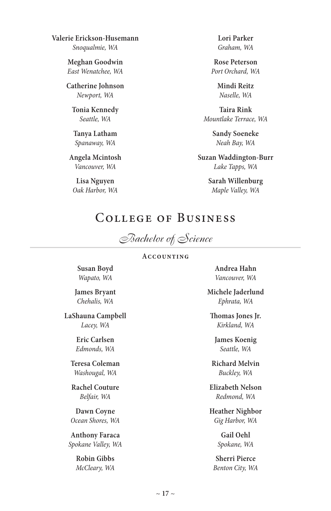**Valerie Erickson-Husemann** *Snoqualmie, WA*

> **Meghan Goodwin** *East Wenatchee, WA*

**Catherine Johnson** *Newport, WA*

**Tonia Kennedy** *Seattle, WA*

**Tanya Latham** *Spanaway, WA*

**Angela Mcintosh** *Vancouver, WA*

**Lisa Nguyen** *Oak Harbor, WA* **Lori Parker** *Graham, WA*

**Rose Peterson** *Port Orchard, WA*

> **Mindi Reitz** *Naselle, WA*

**Taira Rink** *Mountlake Terrace, WA*

> **Sandy Soeneke** *Neah Bay, WA*

**Suzan Waddington-Burr** *Lake Tapps, WA*

> **Sarah Willenburg** *Maple Valley, WA*

# College of Business

*Bachelor of Science*

#### **Accounting**

**Susan Boyd** *Wapato, WA*

**James Bryant** *Chehalis, WA*

**LaShauna Campbell** *Lacey, WA*

> **Eric Carlsen** *Edmonds, WA*

**Teresa Coleman** *Washougal, WA*

**Rachel Couture** *Belfair, WA*

**Dawn Coyne** *Ocean Shores, WA*

**Anthony Faraca** *Spokane Valley, WA*

> **Robin Gibbs** *McCleary, WA*

**Andrea Hahn** *Vancouver, WA*

**Michele Jaderlund** *Ephrata, WA*

**Thomas Jones Jr.** *Kirkland, WA*

**James Koenig** *Seattle, WA*

**Richard Melvin** *Buckley, WA*

**Elizabeth Nelson** *Redmond, WA*

**Heather Nighbor** *Gig Harbor, WA*

> **Gail Oehl** *Spokane, WA*

**Sherri Pierce** *Benton City, WA*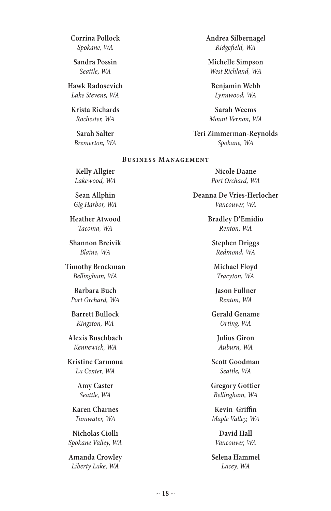**Corrina Pollock** *Spokane, WA*

**Sandra Possin** *Seattle, WA*

**Hawk Radosevich** *Lake Stevens, WA*

**Krista Richards** *Rochester, WA*

**Sarah Salter** *Bremerton, WA* **Andrea Silbernagel** *Ridgefield, WA*

**Michelle Simpson** *West Richland, WA*

**Benjamin Webb** *Lynnwood, WA*

**Sarah Weems** *Mount Vernon, WA*

**Teri Zimmerman-Reynolds** *Spokane, WA*

#### **Business Management**

**Kelly Allgier** *Lakewood, WA*

**Sean Allphin** *Gig Harbor, WA*

**Heather Atwood** *Tacoma, WA*

**Shannon Breivik** *Blaine, WA*

**Timothy Brockman** *Bellingham, WA*

**Barbara Buch** *Port Orchard, WA*

**Barrett Bullock** *Kingston, WA*

**Alexis Buschbach** *Kennewick, WA*

**Kristine Carmona** *La Center, WA*

> **Amy Caster** *Seattle, WA*

**Karen Charnes** *Tumwater, WA*

**Nicholas Ciolli** *Spokane Valley, WA*

**Amanda Crowley** *Liberty Lake, WA*

**Nicole Daane** *Port Orchard, WA*

**Deanna De Vries-Herlocher** *Vancouver, WA*

> **Bradley D'Emidio** *Renton, WA*

**Stephen Driggs** *Redmond, WA*

**Michael Floyd** *Tracyton, WA*

**Jason Fullner** *Renton, WA*

**Gerald Gename** *Orting, WA*

**Julius Giron** *Auburn, WA*

**Scott Goodman** *Seattle, WA*

**Gregory Gottier** *Bellingham, WA*

**Kevin Griffin** *Maple Valley, WA* 

**David Hall** *Vancouver, WA*

**Selena Hammel** *Lacey, WA*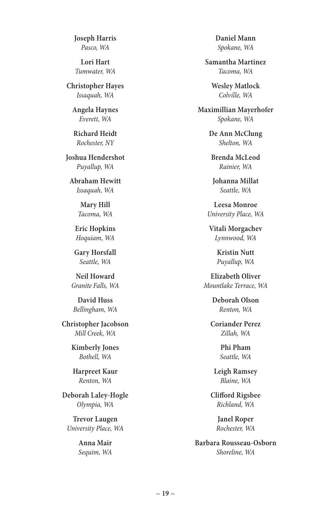**Joseph Harris** *Pasco, WA*

**Lori Hart** *Tumwater, WA*

**Christopher Hayes** *Issaquah, WA*

**Angela Haynes** *Everett, WA*

**Richard Heidt** *Rochester, NY*

**Joshua Hendershot** *Puyallup, WA*

**Abraham Hewitt** *Issaquah, WA*

> **Mary Hill** *Tacoma, WA*

**Eric Hopkins** *Hoquiam, WA*

**Gary Horsfall** *Seattle, WA*

**Neil Howard** *Granite Falls, WA*

**David Huss** *Bellingham, WA*

**Christopher Jacobson** *Mill Creek, WA*

> **Kimberly Jones** *Bothell, WA*

**Harpreet Kaur** *Renton, WA*

**Deborah Laley-Hogle** *Olympia, WA*

**Trevor Laugen** *University Place, WA*

> **Anna Mair** *Sequim, WA*

**Daniel Mann** *Spokane, WA*

**Samantha Martinez** *Tacoma, WA*

**Wesley Matlock** *Colville, WA*

**Maximillian Mayerhofer** *Spokane, WA*

> **De Ann McClung** *Shelton, WA*

**Brenda McLeod** *Rainier, WA*

**Johanna Millat** *Seattle, WA*

**Leesa Monroe** *University Place, WA*

**Vitali Morgachev** *Lynnwood, WA*

> **Kristin Nutt** *Puyallup, WA*

**Elizabeth Oliver** *Mountlake Terrace, WA*

> **Deborah Olson** *Renton, WA*

**Coriander Perez** *Zillah, WA*

> **Phi Pham** *Seattle, WA*

**Leigh Ramsey** *Blaine, WA*

**Clifford Rigsbee** *Richland, WA*

> **Janel Roper** *Rochester, WA*

**Barbara Rousseau-Osborn** *Shoreline, WA*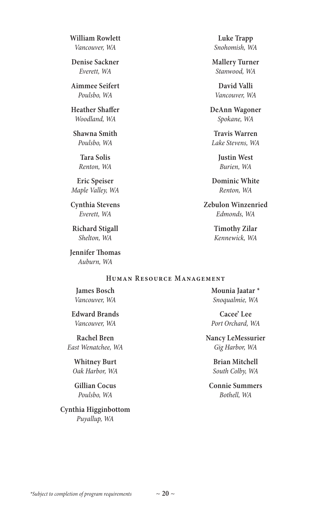**William Rowlett** *Vancouver, WA*

**Denise Sackner** *Everett, WA*

**Aimmee Seifert** *Poulsbo, WA*

**Heather Shaffer** *Woodland, WA*

**Shawna Smith** *Poulsbo, WA*

> **Tara Solis** *Renton, WA*

**Eric Speiser** *Maple Valley, WA*

**Cynthia Stevens** *Everett, WA*

**Richard Stigall** *Shelton, WA*

**Jennifer Thomas** *Auburn, WA*

**Luke Trapp** *Snohomish, WA*

**Mallery Turner** *Stanwood, WA*

**David Valli** *Vancouver, WA*

**DeAnn Wagoner** *Spokane, WA*

**Travis Warren** *Lake Stevens, WA*

> **Justin West** *Burien, WA*

**Dominic White** *Renton, WA*

**Zebulon Winzenried** *Edmonds, WA*

> **Timothy Zilar** *Kennewick, WA*

#### **Human Resource Management**

**James Bosch** *Vancouver, WA*

**Edward Brands** *Vancouver, WA*

**Rachel Bren**  *East Wenatchee, WA*

**Whitney Burt** *Oak Harbor, WA*

**Gillian Cocus** *Poulsbo, WA*

**Cynthia Higginbottom** *Puyallup, WA*

**Mounia Jaatar \*** *Snoqualmie, WA*

**Cacee' Lee** *Port Orchard, WA*

**Nancy LeMessurier** *Gig Harbor, WA*

> **Brian Mitchell** *South Colby, WA*

**Connie Summers** *Bothell, WA*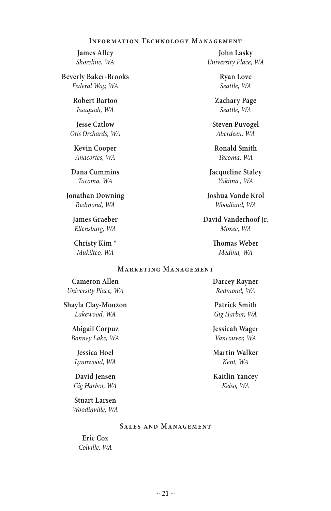#### **Information Technology Management**

**James Alley** *Shoreline, WA*

**Beverly Baker-Brooks** *Federal Way, WA*

> **Robert Bartoo** *Issaquah, WA*

**Jesse Catlow** *Otis Orchards, WA*

**Kevin Cooper** *Anacortes, WA*

**Dana Cummins** *Tacoma, WA*

**Jonathan Downing** *Redmond, WA*

> **James Graeber** *Ellensburg, WA*

**Christy Kim \*** *Mukilteo, WA*

**John Lasky** *University Place, WA*

> **Ryan Love** *Seattle, WA*

**Zachary Page** *Seattle, WA*

**Steven Puvogel** *Aberdeen, WA*

**Ronald Smith** *Tacoma, WA*

**Jacqueline Staley** *Yakima , WA*

**Joshua Vande Krol** *Woodland, WA*

**David Vanderhoof Jr.** *Moxee, WA*

> **Thomas Weber** *Medina, WA*

#### **Marketing Management**

**Cameron Allen** *University Place, WA*

**Shayla Clay-Mouzon** *Lakewood, WA*

> **Abigail Corpuz** *Bonney Lake, WA*

**Jessica Hoel** *Lynnwood, WA*

**David Jensen** *Gig Harbor, WA*

**Stuart Larsen** *Woodinville, WA*

#### **Sales and Management**

**Eric Cox** *Colville, WA* **Darcey Rayner** *Redmond, WA*

**Patrick Smith** *Gig Harbor, WA*

**Jessicah Wager** *Vancouver, WA*

**Martin Walker** *Kent, WA*

**Kaitlin Yancey** *Kelso, WA*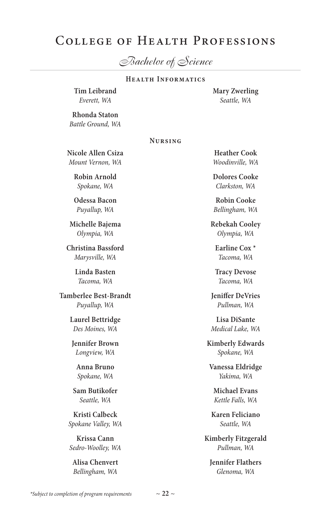# College of Health Professions

*Bachelor of Science*

#### **Health Informatics**

**Tim Leibrand** *Everett, WA*

**Mary Zwerling** *Seattle, WA*

**Rhonda Staton** *Battle Ground, WA*

#### **Nursing**

**Nicole Allen Csiza** *Mount Vernon, WA*

> **Robin Arnold** *Spokane, WA*

> **Odessa Bacon** *Puyallup, WA*

**Michelle Bajema** *Olympia, WA*

**Christina Bassford** *Marysville, WA*

> **Linda Basten** *Tacoma, WA*

**Tamberlee Best-Brandt** *Puyallup, WA*

> **Laurel Bettridge** *Des Moines, WA*

**Jennifer Brown** *Longview, WA*

**Anna Bruno** *Spokane, WA*

**Sam Butikofer** *Seattle, WA*

**Kristi Calbeck** *Spokane Valley, WA*

**Krissa Cann** *Sedro-Woolley, WA*

**Alisa Chenvert** *Bellingham, WA*

**Heather Cook** *Woodinville, WA*

**Dolores Cooke** *Clarkston, WA*

**Robin Cooke** *Bellingham, WA*

**Rebekah Cooley** *Olympia, WA*

**Earline Cox \*** *Tacoma, WA*

**Tracy Devose** *Tacoma, WA*

**Jeniffer DeVries** *Pullman, WA*

**Lisa DiSante** *Medical Lake, WA*

**Kimberly Edwards** *Spokane, WA*

**Vanessa Eldridge** *Yakima, WA*

**Michael Evans** *Kettle Falls, WA*

**Karen Feliciano** *Seattle, WA*

**Kimberly Fitzgerald** *Pullman, WA*

**Jennifer Flathers** *Glenoma, WA*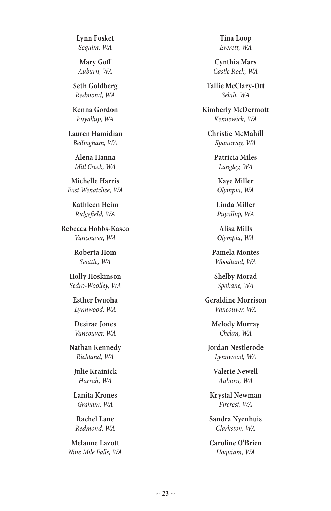**Lynn Fosket** *Sequim, WA*

**Mary Goff** *Auburn, WA*

**Seth Goldberg** *Redmond, WA*

**Kenna Gordon** *Puyallup, WA*

**Lauren Hamidian** *Bellingham, WA*

> **Alena Hanna** *Mill Creek, WA*

**Michelle Harris**  *East Wenatchee, WA*

**Kathleen Heim** *Ridgefield, WA*

**Rebecca Hobbs-Kasco** *Vancouver, WA*

> **Roberta Hom** *Seattle, WA*

**Holly Hoskinson** *Sedro-Woolley, WA*

**Esther Iwuoha** *Lynnwood, WA*

**Desirae Jones** *Vancouver, WA*

**Nathan Kennedy** *Richland, WA*

**Julie Krainick** *Harrah, WA*

**Lanita Krones** *Graham, WA*

**Rachel Lane** *Redmond, WA*

**Melaune Lazott** *Nine Mile Falls, WA*

**Tina Loop** *Everett, WA*

**Cynthia Mars** *Castle Rock, WA*

**Tallie McClary-Ott** *Selah, WA*

**Kimberly McDermott** *Kennewick, WA*

**Christie McMahill** *Spanaway, WA*

> **Patricia Miles** *Langley, WA*

**Kaye Miller** *Olympia, WA*

**Linda Miller** *Puyallup, WA*

**Alisa Mills** *Olympia, WA*

**Pamela Montes** *Woodland, WA*

**Shelby Morad** *Spokane, WA*

**Geraldine Morrison** *Vancouver, WA*

> **Melody Murray** *Chelan, WA*

**Jordan Nestlerode** *Lynnwood, WA*

**Valerie Newell** *Auburn, WA*

**Krystal Newman** *Fircrest, WA*

**Sandra Nyenhuis** *Clarkston, WA*

**Caroline O'Brien** *Hoquiam, WA*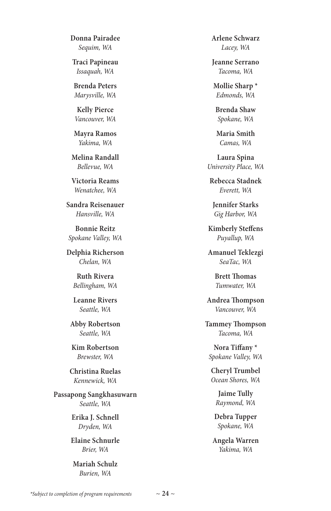**Donna Pairadee** *Sequim, WA*

**Traci Papineau** *Issaquah, WA*

**Brenda Peters** *Marysville, WA*

**Kelly Pierce** *Vancouver, WA*

**Mayra Ramos** *Yakima, WA*

**Melina Randall** *Bellevue, WA*

**Victoria Reams** *Wenatchee, WA*

**Sandra Reisenauer** *Hansville, WA*

**Bonnie Reitz** *Spokane Valley, WA*

**Delphia Richerson** *Chelan, WA*

> **Ruth Rivera** *Bellingham, WA*

> **Leanne Rivers** *Seattle, WA*

**Abby Robertson** *Seattle, WA*

**Kim Robertson** *Brewster, WA*

**Christina Ruelas** *Kennewick, WA*

**Passapong Sangkhasuwarn** *Seattle, WA*

> **Erika J. Schnell** *Dryden, WA*

**Elaine Schnurle** *Brier, WA*

**Mariah Schulz** *Burien, WA*

**Arlene Schwarz** *Lacey, WA*

**Jeanne Serrano** *Tacoma, WA*

**Mollie Sharp \*** *Edmonds, WA*

**Brenda Shaw** *Spokane, WA*

**Maria Smith** *Camas, WA*

**Laura Spina** *University Place, WA*

**Rebecca Stadnek** *Everett, WA*

**Jennifer Starks** *Gig Harbor, WA*

**Kimberly Steffens** *Puyallup, WA*

**Amanuel Teklezgi** *SeaTac, WA*

> **Brett Thomas** *Tumwater, WA*

**Andrea Thompson** *Vancouver, WA*

**Tammey Thompson** *Tacoma, WA*

**Nora Tiffany \*** *Spokane Valley, WA*

**Cheryl Trumbel** *Ocean Shores, WA*

> **Jaime Tully** *Raymond, WA*

**Debra Tupper** *Spokane, WA*

**Angela Warren** *Yakima, WA*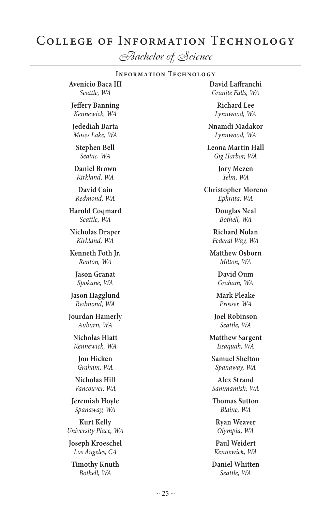# College of Information Technology

*Bachelor of Science*

#### **Information Technology**

**Avenicio Baca III** *Seattle, WA*

**Jeffery Banning** *Kennewick, WA*

**Jedediah Barta** *Moses Lake, WA*

**Stephen Bell**  *Seatac, WA*

**Daniel Brown** *Kirkland, WA*

**David Cain** *Redmond, WA*

**Harold Coqmard** *Seattle, WA*

**Nicholas Draper** *Kirkland, WA*

**Kenneth Foth Jr.** *Renton, WA*

> **Jason Granat** *Spokane, WA*

**Jason Hagglund** *Redmond, WA*

**Jourdan Hamerly** *Auburn, WA*

**Nicholas Hiatt** *Kennewick, WA*

**Jon Hicken** *Graham, WA*

**Nicholas Hill** *Vancouver, WA*

**Jeremiah Hoyle** *Spanaway, WA*

**Kurt Kelly** *University Place, WA*

**Joseph Kroeschel** *Los Angeles, CA*

**Timothy Knuth** *Bothell, WA*

**David Laffranchi** *Granite Falls, WA*

> **Richard Lee** *Lynnwood, WA*

**Nnamdi Madakor** *Lynnwood, WA*

**Leona Martin Hall** *Gig Harbor, WA*

> **Jory Mezen** *Yelm, WA*

**Christopher Moreno** *Ephrata, WA*

> **Douglas Neal** *Bothell, WA*

**Richard Nolan** *Federal Way, WA*

**Matthew Osborn** *Milton, WA*

> **David Oum** *Graham, WA*

**Mark Pleake** *Prosser, WA*

**Joel Robinson** *Seattle, WA*

**Matthew Sargent** *Issaquah, WA*

**Samuel Shelton** *Spanaway, WA*

**Alex Strand** *Sammamish, WA*

**Thomas Sutton** *Blaine, WA*

**Ryan Weaver** *Olympia, WA*

**Paul Weidert** *Kennewick, WA*

**Daniel Whitten** *Seattle, WA*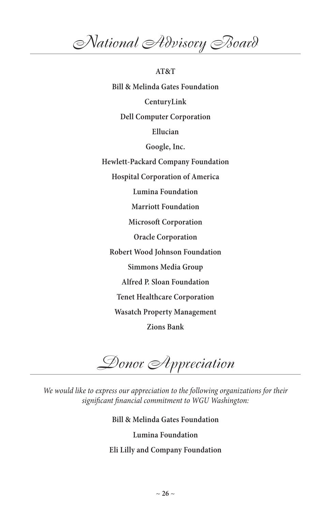*National Advisory Board*

**AT&T Bill & Melinda Gates Foundation CenturyLink Dell Computer Corporation Ellucian Google, Inc. Hewlett-Packard Company Foundation Hospital Corporation of America Lumina Foundation Marriott Foundation Microsoft Corporation Oracle Corporation Robert Wood Johnson Foundation Simmons Media Group Alfred P. Sloan Foundation Tenet Healthcare Corporation Wasatch Property Management Zions Bank**

*Donor Appreciation*

We would like to express our appreciation to the following organizations for their *significant financial commitment to WGU Washington:*

**Bill & Melinda Gates Foundation**

**Lumina Foundation**

**Eli Lilly and Company Foundation**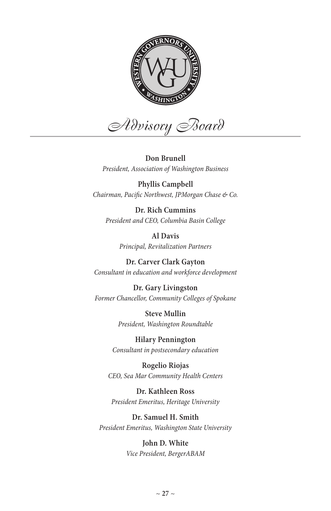

*Advisory Board*

**Don Brunell** *President, Association of Washington Business*

**Phyllis Campbell** *Chairman, Pacific Northwest, JPMorgan Chase & Co.*

**Dr. Rich Cummins** *President and CEO, Columbia Basin College*

> **Al Davis** *Principal, Revitalization Partners*

**Dr. Carver Clark Gayton** *Consultant in education and workforce development*

**Dr. Gary Livingston** *Former Chancellor, Community Colleges of Spokane*

> **Steve Mullin** *President, Washington Roundtable*

**Hilary Pennington** *Consultant in postsecondary education*

**Rogelio Riojas** *CEO, Sea Mar Community Health Centers*

**Dr. Kathleen Ross** *President Emeritus, Heritage University*

**Dr. Samuel H. Smith** *President Emeritus, Washington State University*

> **John D. White** *Vice President, BergerABAM*